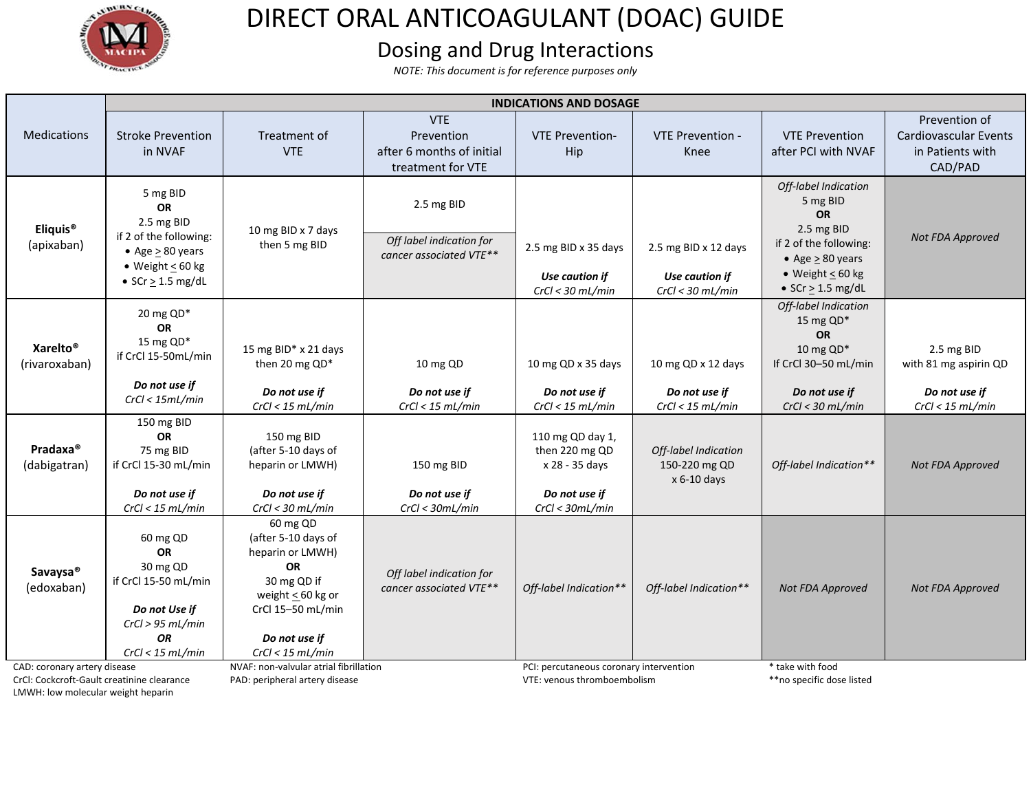

## DIRECT ORAL ANTICOAGULANT (DOAC) GUIDE

## Dosing and Drug Interactions

*NOTE: This document is for reference purposes only* 

|                                                                            | <b>INDICATIONS AND DOSAGE</b>                                                                                                             |                                                                                                                                                                |                                                                            |                                                                                          |                                                              |                                                                                                                                                                      |                                                                          |  |
|----------------------------------------------------------------------------|-------------------------------------------------------------------------------------------------------------------------------------------|----------------------------------------------------------------------------------------------------------------------------------------------------------------|----------------------------------------------------------------------------|------------------------------------------------------------------------------------------|--------------------------------------------------------------|----------------------------------------------------------------------------------------------------------------------------------------------------------------------|--------------------------------------------------------------------------|--|
| <b>Medications</b>                                                         | <b>Stroke Prevention</b><br>in NVAF                                                                                                       | Treatment of<br><b>VTE</b>                                                                                                                                     | <b>VTE</b><br>Prevention<br>after 6 months of initial<br>treatment for VTE | <b>VTE Prevention-</b><br>Hip                                                            | <b>VTE Prevention -</b><br>Knee                              | <b>VTE Prevention</b><br>after PCI with NVAF                                                                                                                         | Prevention of<br>Cardiovascular Events<br>in Patients with<br>CAD/PAD    |  |
| Eliquis <sup>®</sup><br>(apixaban)                                         | 5 mg BID<br><b>OR</b><br>2.5 mg BID<br>if 2 of the following:<br>• Age $\geq 80$ years<br>• Weight $\leq 60$ kg<br>• $SCr \geq 1.5$ mg/dL | 10 mg BID x 7 days<br>then 5 mg BID                                                                                                                            | 2.5 mg BID<br>Off label indication for<br>cancer associated VTE**          | 2.5 mg BID x 35 days<br>Use caution if<br>$CrCl < 30$ mL/min                             | 2.5 mg BID x 12 days<br>Use caution if<br>$CrCl < 30$ mL/min | Off-label Indication<br>5 mg BID<br><b>OR</b><br>2.5 mg BID<br>if 2 of the following:<br>$\bullet$ Age > 80 years<br>• Weight $\leq 60$ kg<br>• $SCr \geq 1.5$ mg/dL | Not FDA Approved                                                         |  |
| Xarelto <sup>®</sup><br>(rivaroxaban)                                      | 20 mg QD*<br><b>OR</b><br>15 mg QD*<br>if CrCl 15-50mL/min<br>Do not use if<br>CrCl < 15mL/min                                            | 15 mg BID* x 21 days<br>then 20 mg QD*<br>Do not use if<br>CrCl < 15 mL/min                                                                                    | 10 mg QD<br>Do not use if<br>CrCl < 15 mL/min                              | 10 mg QD x 35 days<br>Do not use if<br>$CrCl < 15$ mL/min                                | 10 mg QD x 12 days<br>Do not use if<br>$CrCl < 15$ mL/min    | Off-label Indication<br>15 mg QD*<br><b>OR</b><br>10 mg $QD^*$<br>If CrCl 30-50 mL/min<br>Do not use if<br>$CrCl < 30$ mL/min                                        | 2.5 mg BID<br>with 81 mg aspirin QD<br>Do not use if<br>CrCl < 15 mL/min |  |
| Pradaxa <sup>®</sup><br>(dabigatran)                                       | 150 mg BID<br>OR<br>75 mg BID<br>if CrCl 15-30 mL/min<br>Do not use if<br>CrCl < 15 mL/min                                                | 150 mg BID<br>(after 5-10 days of<br>heparin or LMWH)<br>Do not use if<br>$CrCl < 30$ mL/min                                                                   | 150 mg BID<br>Do not use if<br>CrCl < 30mL/min                             | 110 mg QD day 1,<br>then 220 mg QD<br>x 28 - 35 days<br>Do not use if<br>CrCl < 30mL/min | Off-label Indication<br>150-220 mg QD<br>x 6-10 days         | Off-label Indication**                                                                                                                                               | Not FDA Approved                                                         |  |
| Savaysa <sup>®</sup><br>(edoxaban)                                         | 60 mg QD<br><b>OR</b><br>30 mg QD<br>if CrCl 15-50 mL/min<br>Do not Use if<br>CrCl > 95 mL/min<br><b>OR</b><br>CrCl < 15 mL/min           | 60 mg QD<br>(after 5-10 days of<br>heparin or LMWH)<br>OR<br>30 mg QD if<br>weight $\leq$ 60 kg or<br>CrCl 15-50 mL/min<br>Do not use if<br>$CrCl < 15$ mL/min | Off label indication for<br>cancer associated VTE**                        | Off-label Indication**                                                                   | Off-label Indication**                                       | <b>Not FDA Approved</b>                                                                                                                                              | Not FDA Approved                                                         |  |
| CAD: coronary artery disease<br>CrCl: Cockcroft-Gault creatinine clearance |                                                                                                                                           | NVAF: non-valvular atrial fibrillation<br>PAD: peripheral artery disease                                                                                       |                                                                            | PCI: percutaneous coronary intervention<br>VTE: venous thromboembolism                   |                                                              | * take with food<br>** no specific dose listed                                                                                                                       |                                                                          |  |

LMWH: low molecular weight heparin